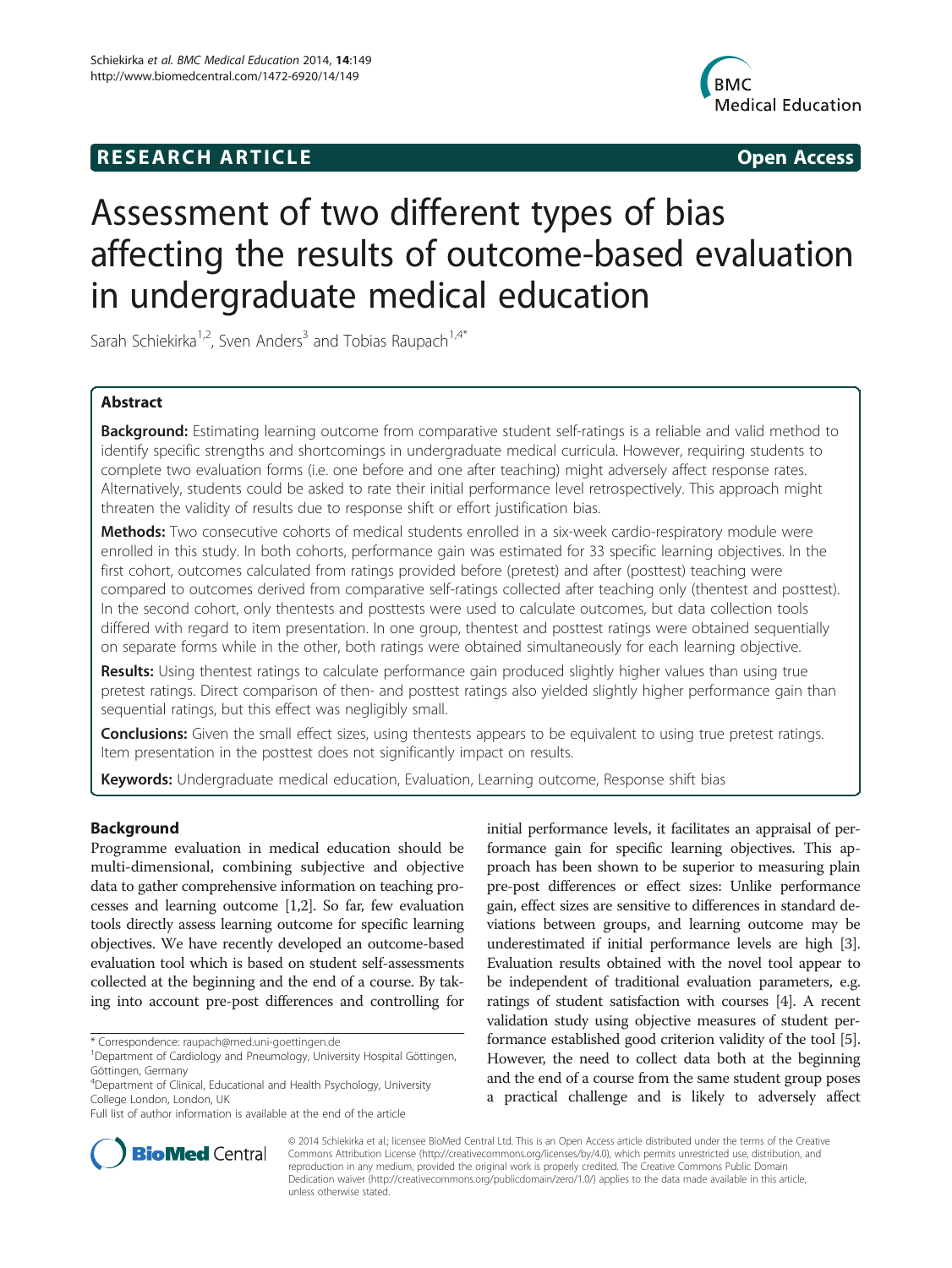## **RESEARCH ARTICLE Example 2014 CONSIDERING CONSIDERING CONSIDERING CONSIDERING CONSIDERING CONSIDERING CONSIDERING CONSIDERING CONSIDERING CONSIDERING CONSIDERING CONSIDERING CONSIDERING CONSIDERING CONSIDERING CONSIDE**



# Assessment of two different types of bias affecting the results of outcome-based evaluation in undergraduate medical education

Sarah Schiekirka<sup>1,2</sup>, Sven Anders<sup>3</sup> and Tobias Raupach<sup>1,4\*</sup>

## Abstract

Background: Estimating learning outcome from comparative student self-ratings is a reliable and valid method to identify specific strengths and shortcomings in undergraduate medical curricula. However, requiring students to complete two evaluation forms (i.e. one before and one after teaching) might adversely affect response rates. Alternatively, students could be asked to rate their initial performance level retrospectively. This approach might threaten the validity of results due to response shift or effort justification bias.

Methods: Two consecutive cohorts of medical students enrolled in a six-week cardio-respiratory module were enrolled in this study. In both cohorts, performance gain was estimated for 33 specific learning objectives. In the first cohort, outcomes calculated from ratings provided before (pretest) and after (posttest) teaching were compared to outcomes derived from comparative self-ratings collected after teaching only (thentest and posttest). In the second cohort, only thentests and posttests were used to calculate outcomes, but data collection tools differed with regard to item presentation. In one group, thentest and posttest ratings were obtained sequentially on separate forms while in the other, both ratings were obtained simultaneously for each learning objective.

Results: Using thentest ratings to calculate performance gain produced slightly higher values than using true pretest ratings. Direct comparison of then- and posttest ratings also yielded slightly higher performance gain than sequential ratings, but this effect was negligibly small.

**Conclusions:** Given the small effect sizes, using thentests appears to be equivalent to using true pretest ratings. Item presentation in the posttest does not significantly impact on results.

Keywords: Undergraduate medical education, Evaluation, Learning outcome, Response shift bias

## Background

Programme evaluation in medical education should be multi-dimensional, combining subjective and objective data to gather comprehensive information on teaching processes and learning outcome [\[1,2\]](#page-8-0). So far, few evaluation tools directly assess learning outcome for specific learning objectives. We have recently developed an outcome-based evaluation tool which is based on student self-assessments collected at the beginning and the end of a course. By taking into account pre-post differences and controlling for

initial performance levels, it facilitates an appraisal of performance gain for specific learning objectives. This approach has been shown to be superior to measuring plain pre-post differences or effect sizes: Unlike performance gain, effect sizes are sensitive to differences in standard deviations between groups, and learning outcome may be underestimated if initial performance levels are high [[3](#page-8-0)]. Evaluation results obtained with the novel tool appear to be independent of traditional evaluation parameters, e.g. ratings of student satisfaction with courses [\[4](#page-8-0)]. A recent validation study using objective measures of student performance established good criterion validity of the tool [[5](#page-8-0)]. However, the need to collect data both at the beginning and the end of a course from the same student group poses a practical challenge and is likely to adversely affect



© 2014 Schiekirka et al.; licensee BioMed Central Ltd. This is an Open Access article distributed under the terms of the Creative Commons Attribution License [\(http://creativecommons.org/licenses/by/4.0\)](http://creativecommons.org/licenses/by/4.0), which permits unrestricted use, distribution, and reproduction in any medium, provided the original work is properly credited. The Creative Commons Public Domain Dedication waiver [\(http://creativecommons.org/publicdomain/zero/1.0/](http://creativecommons.org/publicdomain/zero/1.0/)) applies to the data made available in this article, unless otherwise stated.

<sup>\*</sup> Correspondence: [raupach@med.uni-goettingen.de](mailto:raupach@med.uni-goettingen.de) <sup>1</sup>

<sup>&</sup>lt;sup>1</sup>Department of Cardiology and Pneumology, University Hospital Göttingen, Göttingen, Germany

<sup>4</sup> Department of Clinical, Educational and Health Psychology, University College London, London, UK

Full list of author information is available at the end of the article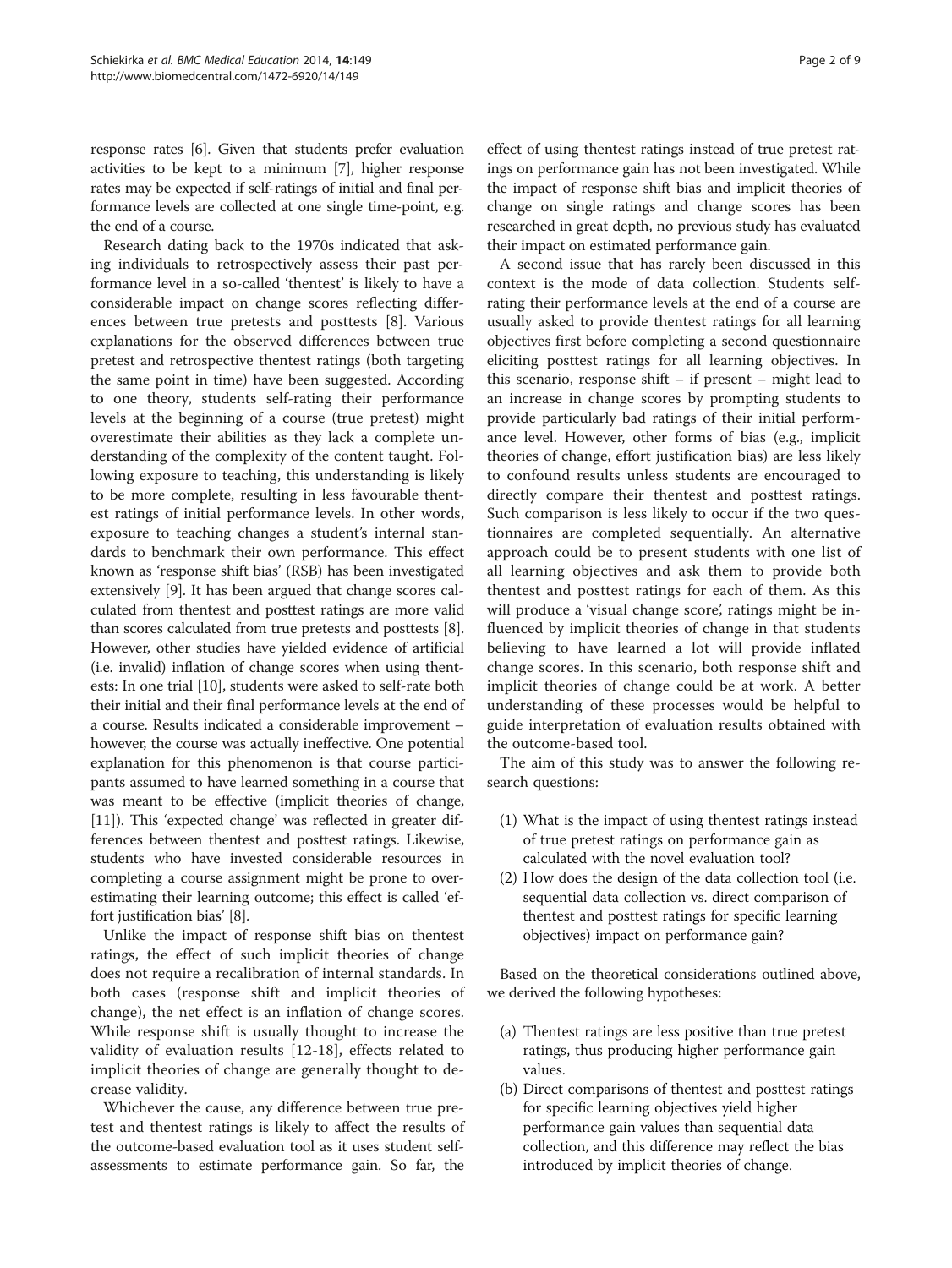response rates [\[6\]](#page-8-0). Given that students prefer evaluation activities to be kept to a minimum [[7\]](#page-8-0), higher response rates may be expected if self-ratings of initial and final performance levels are collected at one single time-point, e.g. the end of a course.

Research dating back to the 1970s indicated that asking individuals to retrospectively assess their past performance level in a so-called 'thentest' is likely to have a considerable impact on change scores reflecting differences between true pretests and posttests [\[8](#page-8-0)]. Various explanations for the observed differences between true pretest and retrospective thentest ratings (both targeting the same point in time) have been suggested. According to one theory, students self-rating their performance levels at the beginning of a course (true pretest) might overestimate their abilities as they lack a complete understanding of the complexity of the content taught. Following exposure to teaching, this understanding is likely to be more complete, resulting in less favourable thentest ratings of initial performance levels. In other words, exposure to teaching changes a student's internal standards to benchmark their own performance. This effect known as 'response shift bias' (RSB) has been investigated extensively [\[9](#page-8-0)]. It has been argued that change scores calculated from thentest and posttest ratings are more valid than scores calculated from true pretests and posttests [[8](#page-8-0)]. However, other studies have yielded evidence of artificial (i.e. invalid) inflation of change scores when using thentests: In one trial [\[10](#page-8-0)], students were asked to self-rate both their initial and their final performance levels at the end of a course. Results indicated a considerable improvement – however, the course was actually ineffective. One potential explanation for this phenomenon is that course participants assumed to have learned something in a course that was meant to be effective (implicit theories of change, [[11](#page-8-0)]). This 'expected change' was reflected in greater differences between thentest and posttest ratings. Likewise, students who have invested considerable resources in completing a course assignment might be prone to overestimating their learning outcome; this effect is called 'effort justification bias' [\[8](#page-8-0)].

Unlike the impact of response shift bias on thentest ratings, the effect of such implicit theories of change does not require a recalibration of internal standards. In both cases (response shift and implicit theories of change), the net effect is an inflation of change scores. While response shift is usually thought to increase the validity of evaluation results [\[12](#page-8-0)-[18\]](#page-8-0), effects related to implicit theories of change are generally thought to decrease validity.

Whichever the cause, any difference between true pretest and thentest ratings is likely to affect the results of the outcome-based evaluation tool as it uses student selfassessments to estimate performance gain. So far, the effect of using thentest ratings instead of true pretest ratings on performance gain has not been investigated. While the impact of response shift bias and implicit theories of change on single ratings and change scores has been researched in great depth, no previous study has evaluated their impact on estimated performance gain.

A second issue that has rarely been discussed in this context is the mode of data collection. Students selfrating their performance levels at the end of a course are usually asked to provide thentest ratings for all learning objectives first before completing a second questionnaire eliciting posttest ratings for all learning objectives. In this scenario, response shift – if present – might lead to an increase in change scores by prompting students to provide particularly bad ratings of their initial performance level. However, other forms of bias (e.g., implicit theories of change, effort justification bias) are less likely to confound results unless students are encouraged to directly compare their thentest and posttest ratings. Such comparison is less likely to occur if the two questionnaires are completed sequentially. An alternative approach could be to present students with one list of all learning objectives and ask them to provide both thentest and posttest ratings for each of them. As this will produce a 'visual change score', ratings might be influenced by implicit theories of change in that students believing to have learned a lot will provide inflated change scores. In this scenario, both response shift and implicit theories of change could be at work. A better understanding of these processes would be helpful to guide interpretation of evaluation results obtained with the outcome-based tool.

The aim of this study was to answer the following research questions:

- (1) What is the impact of using thentest ratings instead of true pretest ratings on performance gain as calculated with the novel evaluation tool?
- (2) How does the design of the data collection tool (i.e. sequential data collection vs. direct comparison of thentest and posttest ratings for specific learning objectives) impact on performance gain?

Based on the theoretical considerations outlined above, we derived the following hypotheses:

- (a) Thentest ratings are less positive than true pretest ratings, thus producing higher performance gain values.
- (b) Direct comparisons of thentest and posttest ratings for specific learning objectives yield higher performance gain values than sequential data collection, and this difference may reflect the bias introduced by implicit theories of change.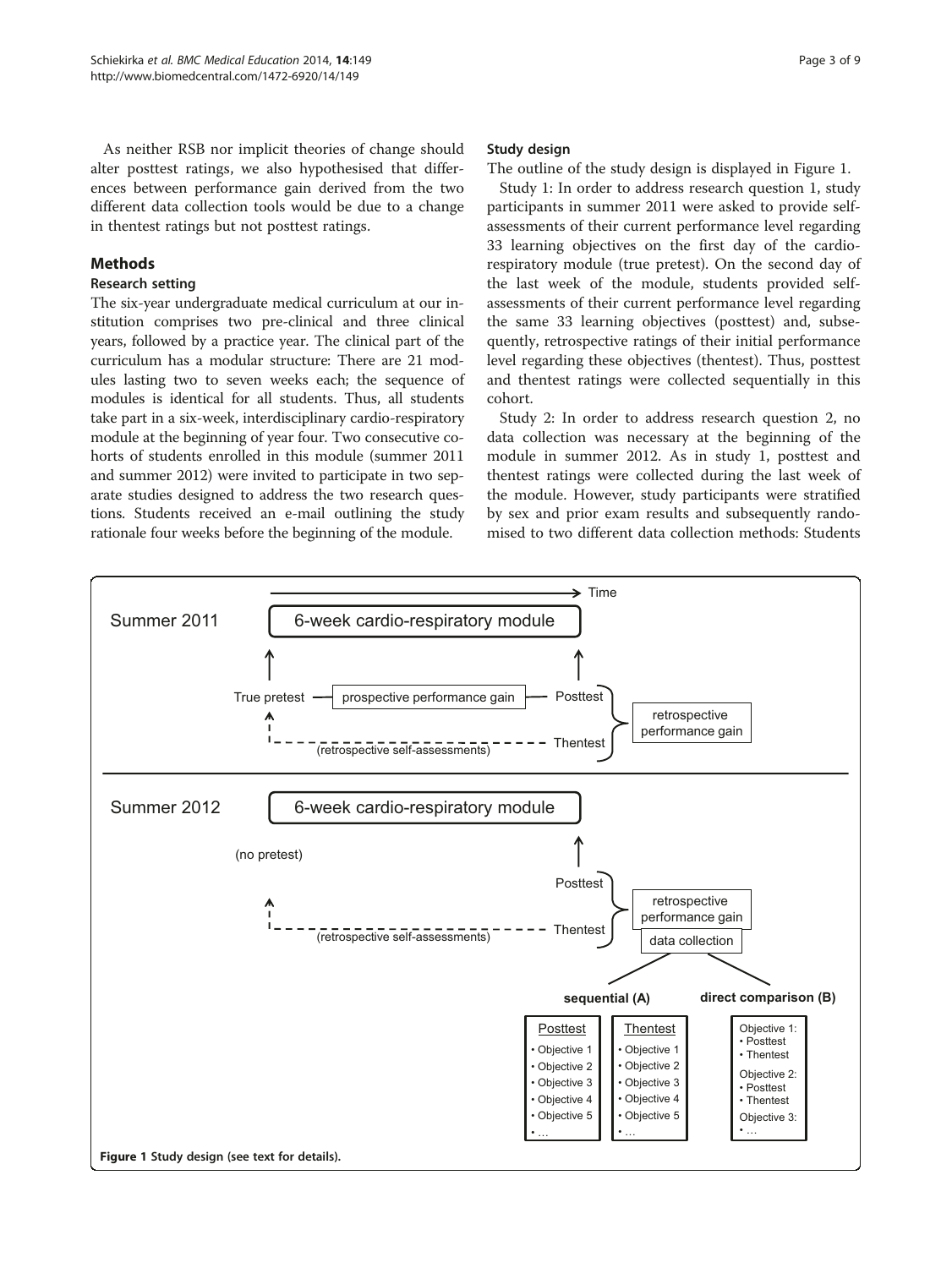As neither RSB nor implicit theories of change should alter posttest ratings, we also hypothesised that differences between performance gain derived from the two different data collection tools would be due to a change in thentest ratings but not posttest ratings.

## Methods

#### Research setting

The six-year undergraduate medical curriculum at our institution comprises two pre-clinical and three clinical years, followed by a practice year. The clinical part of the curriculum has a modular structure: There are 21 modules lasting two to seven weeks each; the sequence of modules is identical for all students. Thus, all students take part in a six-week, interdisciplinary cardio-respiratory module at the beginning of year four. Two consecutive cohorts of students enrolled in this module (summer 2011 and summer 2012) were invited to participate in two separate studies designed to address the two research questions. Students received an e-mail outlining the study rationale four weeks before the beginning of the module.

#### Study design

The outline of the study design is displayed in Figure 1.

Study 1: In order to address research question 1, study participants in summer 2011 were asked to provide selfassessments of their current performance level regarding 33 learning objectives on the first day of the cardiorespiratory module (true pretest). On the second day of the last week of the module, students provided selfassessments of their current performance level regarding the same 33 learning objectives (posttest) and, subsequently, retrospective ratings of their initial performance level regarding these objectives (thentest). Thus, posttest and thentest ratings were collected sequentially in this cohort.

Study 2: In order to address research question 2, no data collection was necessary at the beginning of the module in summer 2012. As in study 1, posttest and thentest ratings were collected during the last week of the module. However, study participants were stratified by sex and prior exam results and subsequently randomised to two different data collection methods: Students

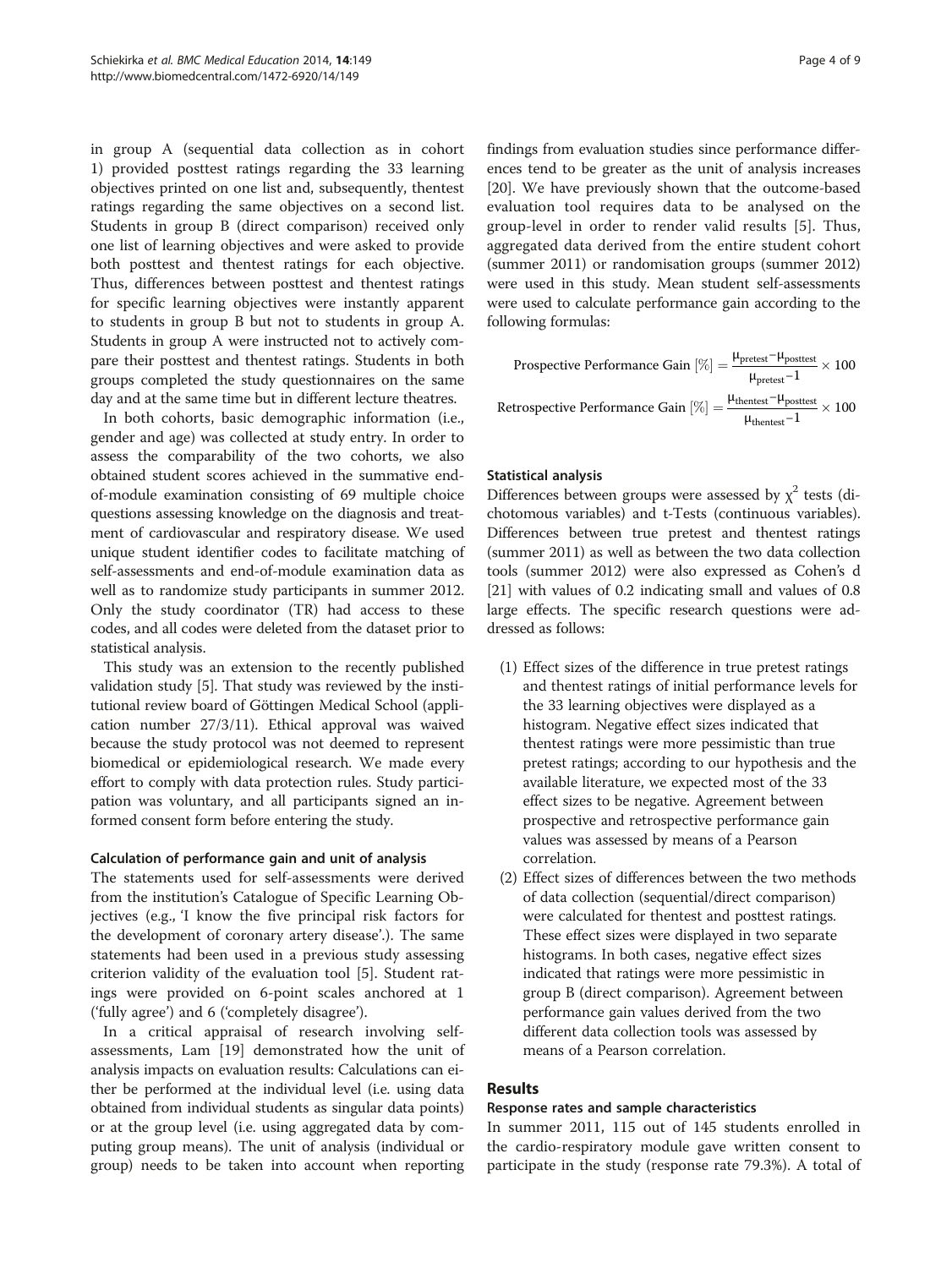in group A (sequential data collection as in cohort 1) provided posttest ratings regarding the 33 learning objectives printed on one list and, subsequently, thentest ratings regarding the same objectives on a second list. Students in group B (direct comparison) received only one list of learning objectives and were asked to provide both posttest and thentest ratings for each objective. Thus, differences between posttest and thentest ratings for specific learning objectives were instantly apparent to students in group B but not to students in group A. Students in group A were instructed not to actively compare their posttest and thentest ratings. Students in both groups completed the study questionnaires on the same day and at the same time but in different lecture theatres.

In both cohorts, basic demographic information (i.e., gender and age) was collected at study entry. In order to assess the comparability of the two cohorts, we also obtained student scores achieved in the summative endof-module examination consisting of 69 multiple choice questions assessing knowledge on the diagnosis and treatment of cardiovascular and respiratory disease. We used unique student identifier codes to facilitate matching of self-assessments and end-of-module examination data as well as to randomize study participants in summer 2012. Only the study coordinator (TR) had access to these codes, and all codes were deleted from the dataset prior to statistical analysis.

This study was an extension to the recently published validation study [\[5](#page-8-0)]. That study was reviewed by the institutional review board of Göttingen Medical School (application number 27/3/11). Ethical approval was waived because the study protocol was not deemed to represent biomedical or epidemiological research. We made every effort to comply with data protection rules. Study participation was voluntary, and all participants signed an informed consent form before entering the study.

## Calculation of performance gain and unit of analysis

The statements used for self-assessments were derived from the institution's Catalogue of Specific Learning Objectives (e.g., 'I know the five principal risk factors for the development of coronary artery disease'.). The same statements had been used in a previous study assessing criterion validity of the evaluation tool [\[5](#page-8-0)]. Student ratings were provided on 6-point scales anchored at 1 ('fully agree') and 6 ('completely disagree').

In a critical appraisal of research involving selfassessments, Lam [\[19](#page-8-0)] demonstrated how the unit of analysis impacts on evaluation results: Calculations can either be performed at the individual level (i.e. using data obtained from individual students as singular data points) or at the group level (i.e. using aggregated data by computing group means). The unit of analysis (individual or group) needs to be taken into account when reporting findings from evaluation studies since performance differences tend to be greater as the unit of analysis increases [[20](#page-8-0)]. We have previously shown that the outcome-based evaluation tool requires data to be analysed on the group-level in order to render valid results [[5](#page-8-0)]. Thus, aggregated data derived from the entire student cohort (summer 2011) or randomisation groups (summer 2012) were used in this study. Mean student self-assessments were used to calculate performance gain according to the following formulas:

Prospective Performance Gain  $[\%] = \frac{\mu_{\text{pretest}} - \mu_{\text{posttest}}}{\mu_{\text{pretest}} - 1} \times 100$  $\text{Retrospective Performance Gain}$  [%] =  $\frac{\mu_{\text{thentest}} - \mu_{\text{posttest}}}{\mu_{\text{thentest}} - 1} \times 100$ 

## Statistical analysis

Differences between groups were assessed by  $\chi^2$  tests (dichotomous variables) and t-Tests (continuous variables). Differences between true pretest and thentest ratings (summer 2011) as well as between the two data collection tools (summer 2012) were also expressed as Cohen's d [[21](#page-8-0)] with values of 0.2 indicating small and values of 0.8 large effects. The specific research questions were addressed as follows:

- (1) Effect sizes of the difference in true pretest ratings and thentest ratings of initial performance levels for the 33 learning objectives were displayed as a histogram. Negative effect sizes indicated that thentest ratings were more pessimistic than true pretest ratings; according to our hypothesis and the available literature, we expected most of the 33 effect sizes to be negative. Agreement between prospective and retrospective performance gain values was assessed by means of a Pearson correlation.
- (2) Effect sizes of differences between the two methods of data collection (sequential/direct comparison) were calculated for thentest and posttest ratings. These effect sizes were displayed in two separate histograms. In both cases, negative effect sizes indicated that ratings were more pessimistic in group B (direct comparison). Agreement between performance gain values derived from the two different data collection tools was assessed by means of a Pearson correlation.

## Results

## Response rates and sample characteristics

In summer 2011, 115 out of 145 students enrolled in the cardio-respiratory module gave written consent to participate in the study (response rate 79.3%). A total of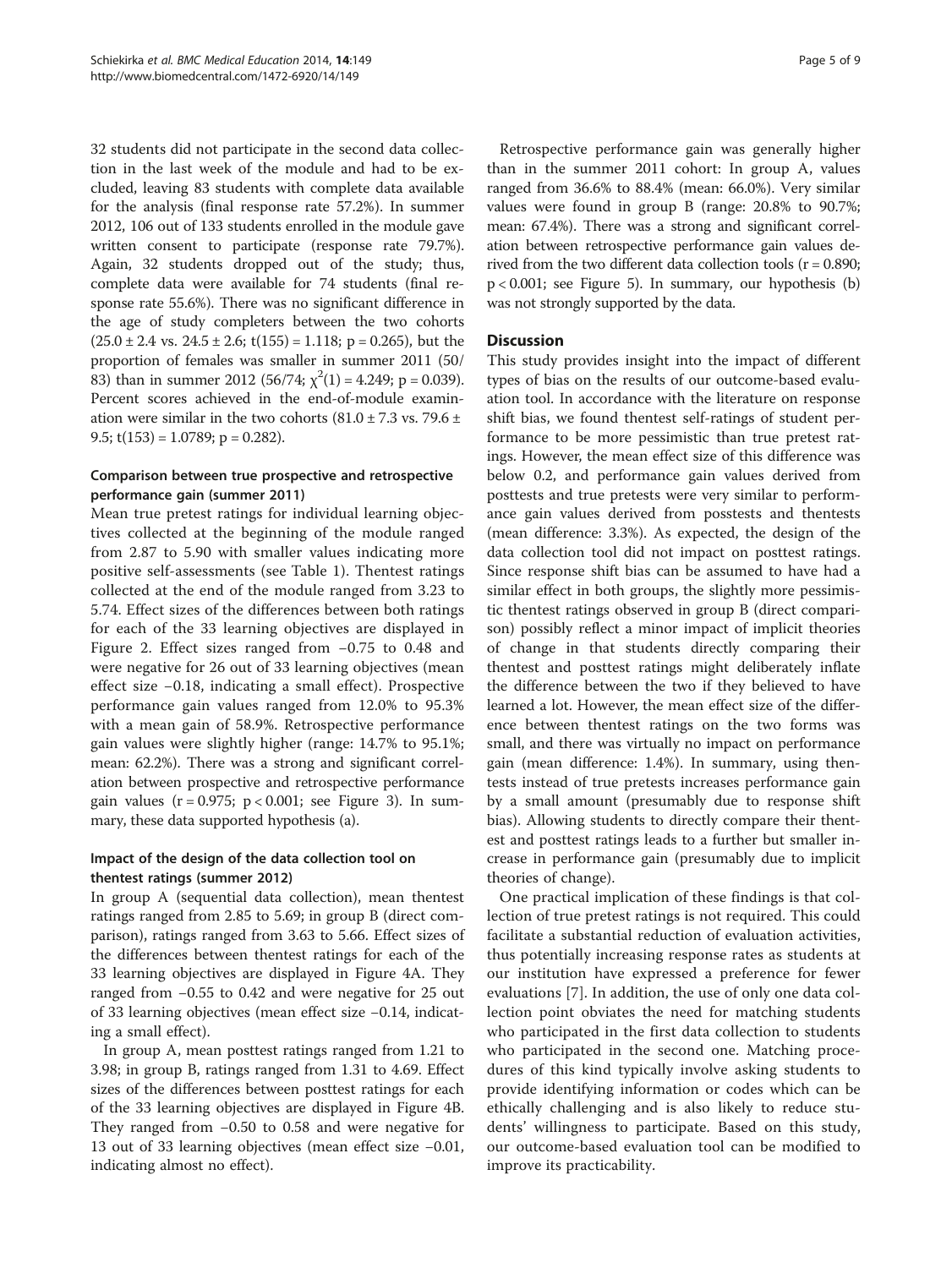32 students did not participate in the second data collection in the last week of the module and had to be excluded, leaving 83 students with complete data available for the analysis (final response rate 57.2%). In summer 2012, 106 out of 133 students enrolled in the module gave written consent to participate (response rate 79.7%). Again, 32 students dropped out of the study; thus, complete data were available for 74 students (final response rate 55.6%). There was no significant difference in the age of study completers between the two cohorts  $(25.0 \pm 2.4 \text{ vs. } 24.5 \pm 2.6; t(155) = 1.118; p = 0.265)$ , but the proportion of females was smaller in summer 2011 (50/ 83) than in summer 2012 (56/74;  $\chi^2(1) = 4.249$ ; p = 0.039). Percent scores achieved in the end-of-module examination were similar in the two cohorts  $(81.0 \pm 7.3 \text{ vs. } 79.6 \pm 7.3 \text{ vs. } 79.6 \pm 7.3 \text{ vs. } 79.6 \pm 7.3 \text{ vs. } 79.6 \pm 7.3 \text{ vs. } 79.6 \pm 7.3 \text{ vs. } 79.6 \pm 7.3 \text{ vs. } 79.6 \pm 7.3 \text{ vs. } 79.6 \pm 7.3 \text{ vs. } 79.6 \pm 7.3 \text{ vs. } 79.6 \pm 7.3 \$ 9.5;  $t(153) = 1.0789$ ;  $p = 0.282$ ).

## Comparison between true prospective and retrospective performance gain (summer 2011)

Mean true pretest ratings for individual learning objectives collected at the beginning of the module ranged from 2.87 to 5.90 with smaller values indicating more positive self-assessments (see Table [1](#page-5-0)). Thentest ratings collected at the end of the module ranged from 3.23 to 5.74. Effect sizes of the differences between both ratings for each of the 33 learning objectives are displayed in Figure [2.](#page-6-0) Effect sizes ranged from −0.75 to 0.48 and were negative for 26 out of 33 learning objectives (mean effect size −0.18, indicating a small effect). Prospective performance gain values ranged from 12.0% to 95.3% with a mean gain of 58.9%. Retrospective performance gain values were slightly higher (range: 14.7% to 95.1%; mean: 62.2%). There was a strong and significant correlation between prospective and retrospective performance gain values  $(r = 0.975; p < 0.001;$  see Figure [3\)](#page-6-0). In summary, these data supported hypothesis (a).

## Impact of the design of the data collection tool on thentest ratings (summer 2012)

In group A (sequential data collection), mean thentest ratings ranged from 2.85 to 5.69; in group B (direct comparison), ratings ranged from 3.63 to 5.66. Effect sizes of the differences between thentest ratings for each of the 33 learning objectives are displayed in Figure [4A](#page-6-0). They ranged from −0.55 to 0.42 and were negative for 25 out of 33 learning objectives (mean effect size −0.14, indicating a small effect).

In group A, mean posttest ratings ranged from 1.21 to 3.98; in group B, ratings ranged from 1.31 to 4.69. Effect sizes of the differences between posttest ratings for each of the 33 learning objectives are displayed in Figure [4B](#page-6-0). They ranged from −0.50 to 0.58 and were negative for 13 out of 33 learning objectives (mean effect size −0.01, indicating almost no effect).

Retrospective performance gain was generally higher than in the summer 2011 cohort: In group A, values ranged from 36.6% to 88.4% (mean: 66.0%). Very similar values were found in group B (range: 20.8% to 90.7%; mean: 67.4%). There was a strong and significant correlation between retrospective performance gain values derived from the two different data collection tools  $(r = 0.890;$ p < 0.001; see Figure [5](#page-7-0)). In summary, our hypothesis (b) was not strongly supported by the data.

## **Discussion**

This study provides insight into the impact of different types of bias on the results of our outcome-based evaluation tool. In accordance with the literature on response shift bias, we found thentest self-ratings of student performance to be more pessimistic than true pretest ratings. However, the mean effect size of this difference was below 0.2, and performance gain values derived from posttests and true pretests were very similar to performance gain values derived from posstests and thentests (mean difference: 3.3%). As expected, the design of the data collection tool did not impact on posttest ratings. Since response shift bias can be assumed to have had a similar effect in both groups, the slightly more pessimistic thentest ratings observed in group B (direct comparison) possibly reflect a minor impact of implicit theories of change in that students directly comparing their thentest and posttest ratings might deliberately inflate the difference between the two if they believed to have learned a lot. However, the mean effect size of the difference between thentest ratings on the two forms was small, and there was virtually no impact on performance gain (mean difference: 1.4%). In summary, using thentests instead of true pretests increases performance gain by a small amount (presumably due to response shift bias). Allowing students to directly compare their thentest and posttest ratings leads to a further but smaller increase in performance gain (presumably due to implicit theories of change).

One practical implication of these findings is that collection of true pretest ratings is not required. This could facilitate a substantial reduction of evaluation activities, thus potentially increasing response rates as students at our institution have expressed a preference for fewer evaluations [\[7](#page-8-0)]. In addition, the use of only one data collection point obviates the need for matching students who participated in the first data collection to students who participated in the second one. Matching procedures of this kind typically involve asking students to provide identifying information or codes which can be ethically challenging and is also likely to reduce students' willingness to participate. Based on this study, our outcome-based evaluation tool can be modified to improve its practicability.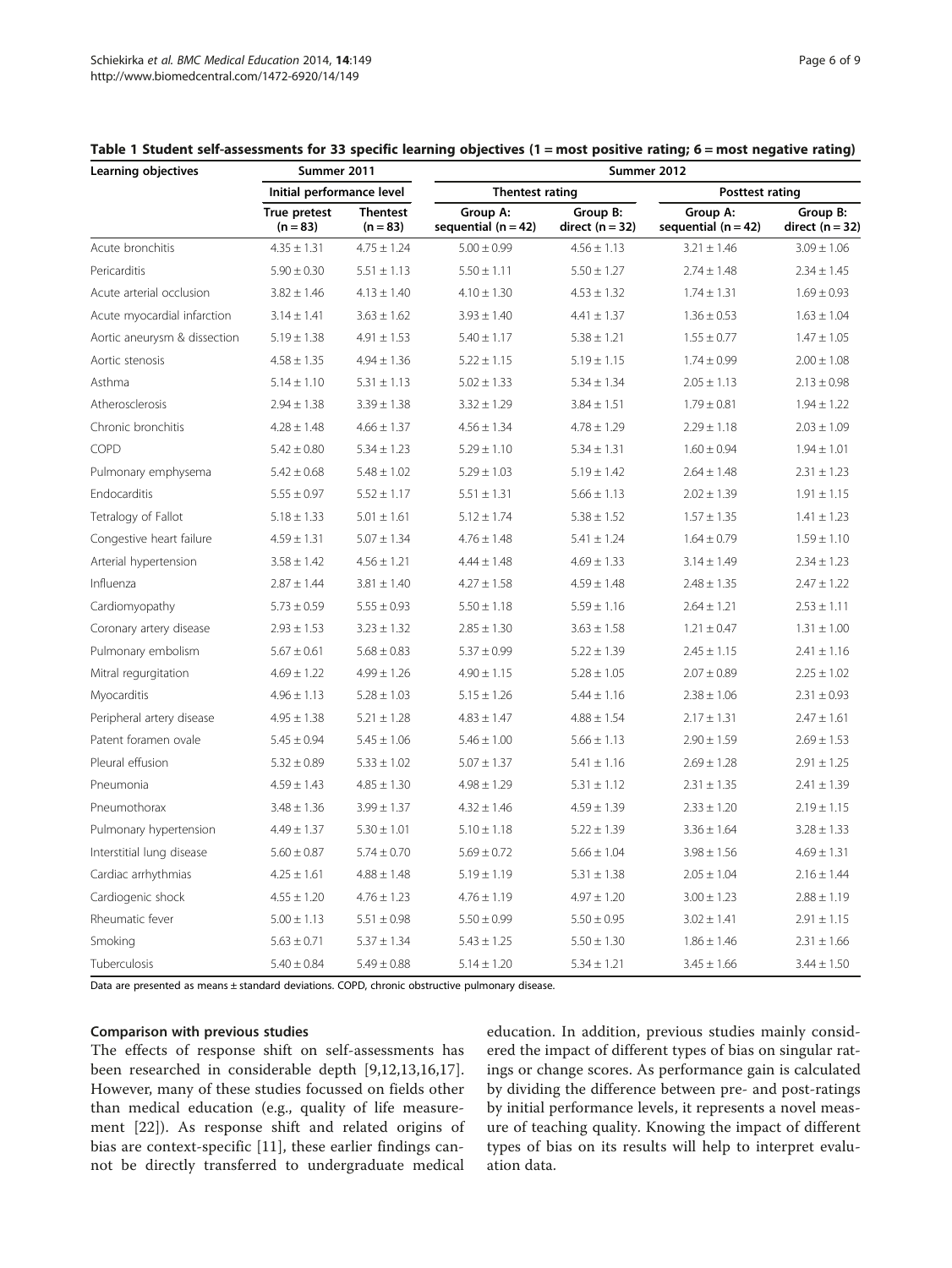| Learning objectives          | Summer 2011<br>Initial performance level |                               | Summer 2012                       |                               |                                   |                                 |
|------------------------------|------------------------------------------|-------------------------------|-----------------------------------|-------------------------------|-----------------------------------|---------------------------------|
|                              |                                          |                               | <b>Thentest rating</b>            |                               | <b>Posttest rating</b>            |                                 |
|                              | True pretest<br>$(n = 83)$               | <b>Thentest</b><br>$(n = 83)$ | Group A:<br>sequential $(n = 42)$ | Group B:<br>direct $(n = 32)$ | Group A:<br>sequential $(n = 42)$ | Group B:<br>direct ( $n = 32$ ) |
| Acute bronchitis             | $4.35 \pm 1.31$                          | $4.75 \pm 1.24$               | $5.00 \pm 0.99$                   | $4.56 \pm 1.13$               | $3.21 \pm 1.46$                   | $3.09 \pm 1.06$                 |
| Pericarditis                 | $5.90 \pm 0.30$                          | $5.51 \pm 1.13$               | $5.50 \pm 1.11$                   | $5.50 \pm 1.27$               | $2.74 \pm 1.48$                   | $2.34 \pm 1.45$                 |
| Acute arterial occlusion     | $3.82 \pm 1.46$                          | $4.13 \pm 1.40$               | $4.10 \pm 1.30$                   | $4.53 \pm 1.32$               | $1.74 \pm 1.31$                   | $1.69 \pm 0.93$                 |
| Acute myocardial infarction  | $3.14 \pm 1.41$                          | $3.63 \pm 1.62$               | $3.93 \pm 1.40$                   | $4.41 \pm 1.37$               | $1.36 \pm 0.53$                   | $1.63 \pm 1.04$                 |
| Aortic aneurysm & dissection | $5.19 \pm 1.38$                          | $4.91 \pm 1.53$               | $5.40 \pm 1.17$                   | $5.38 \pm 1.21$               | $1.55 \pm 0.77$                   | $1.47 \pm 1.05$                 |
| Aortic stenosis              | $4.58 \pm 1.35$                          | $4.94 \pm 1.36$               | $5.22 \pm 1.15$                   | $5.19 \pm 1.15$               | $1.74 \pm 0.99$                   | $2.00 \pm 1.08$                 |
| Asthma                       | $5.14 \pm 1.10$                          | $5.31 \pm 1.13$               | $5.02 \pm 1.33$                   | $5.34 \pm 1.34$               | $2.05 \pm 1.13$                   | $2.13 \pm 0.98$                 |
| Atherosclerosis              | $2.94 \pm 1.38$                          | $3.39 \pm 1.38$               | $3.32 \pm 1.29$                   | $3.84 \pm 1.51$               | $1.79 \pm 0.81$                   | $1.94 \pm 1.22$                 |
| Chronic bronchitis           | $4.28 \pm 1.48$                          | $4.66 \pm 1.37$               | $4.56 \pm 1.34$                   | $4.78 \pm 1.29$               | $2.29 \pm 1.18$                   | $2.03 \pm 1.09$                 |
| COPD                         | $5.42 \pm 0.80$                          | $5.34 \pm 1.23$               | $5.29 \pm 1.10$                   | $5.34 \pm 1.31$               | $1.60 \pm 0.94$                   | $1.94 \pm 1.01$                 |
| Pulmonary emphysema          | $5.42 \pm 0.68$                          | $5.48 \pm 1.02$               | $5.29 \pm 1.03$                   | $5.19 \pm 1.42$               | $2.64 \pm 1.48$                   | $2.31 \pm 1.23$                 |
| Endocarditis                 | $5.55 \pm 0.97$                          | $5.52 \pm 1.17$               | $5.51 \pm 1.31$                   | $5.66 \pm 1.13$               | $2.02 \pm 1.39$                   | $1.91 \pm 1.15$                 |
| Tetralogy of Fallot          | $5.18 \pm 1.33$                          | $5.01 \pm 1.61$               | $5.12 \pm 1.74$                   | $5.38 \pm 1.52$               | $1.57 \pm 1.35$                   | $1.41 \pm 1.23$                 |
| Congestive heart failure     | $4.59 \pm 1.31$                          | $5.07 \pm 1.34$               | $4.76 \pm 1.48$                   | $5.41 \pm 1.24$               | $1.64 \pm 0.79$                   | $1.59 \pm 1.10$                 |
| Arterial hypertension        | $3.58 \pm 1.42$                          | $4.56 \pm 1.21$               | $4.44 \pm 1.48$                   | $4.69 \pm 1.33$               | $3.14 \pm 1.49$                   | $2.34 \pm 1.23$                 |
| Influenza                    | $2.87 \pm 1.44$                          | $3.81 \pm 1.40$               | $4.27 \pm 1.58$                   | $4.59 \pm 1.48$               | $2.48 \pm 1.35$                   | $2.47 \pm 1.22$                 |
| Cardiomyopathy               | $5.73 \pm 0.59$                          | $5.55 \pm 0.93$               | $5.50 \pm 1.18$                   | $5.59 \pm 1.16$               | $2.64 \pm 1.21$                   | $2.53 \pm 1.11$                 |
| Coronary artery disease      | $2.93 \pm 1.53$                          | $3.23 \pm 1.32$               | $2.85 \pm 1.30$                   | $3.63 \pm 1.58$               | $1.21 \pm 0.47$                   | $1.31 \pm 1.00$                 |
| Pulmonary embolism           | $5.67 \pm 0.61$                          | $5.68 \pm 0.83$               | $5.37 \pm 0.99$                   | $5.22 \pm 1.39$               | $2.45 \pm 1.15$                   | $2.41 \pm 1.16$                 |
| Mitral regurgitation         | $4.69 \pm 1.22$                          | $4.99 \pm 1.26$               | $4.90 \pm 1.15$                   | $5.28 \pm 1.05$               | $2.07 \pm 0.89$                   | $2.25 \pm 1.02$                 |
| Myocarditis                  | $4.96 \pm 1.13$                          | $5.28 \pm 1.03$               | $5.15 \pm 1.26$                   | $5.44 \pm 1.16$               | $2.38 \pm 1.06$                   | $2.31 \pm 0.93$                 |
| Peripheral artery disease    | $4.95 \pm 1.38$                          | $5.21 \pm 1.28$               | $4.83 \pm 1.47$                   | $4.88 \pm 1.54$               | $2.17 \pm 1.31$                   | $2.47 \pm 1.61$                 |
| Patent foramen ovale         | $5.45 \pm 0.94$                          | $5.45 \pm 1.06$               | $5.46 \pm 1.00$                   | $5.66 \pm 1.13$               | $2.90 \pm 1.59$                   | $2.69 \pm 1.53$                 |
| Pleural effusion             | $5.32 \pm 0.89$                          | $5.33 \pm 1.02$               | $5.07 \pm 1.37$                   | $5.41 \pm 1.16$               | $2.69 \pm 1.28$                   | $2.91 \pm 1.25$                 |
| Pneumonia                    | $4.59 \pm 1.43$                          | $4.85 \pm 1.30$               | $4.98 \pm 1.29$                   | $5.31 \pm 1.12$               | $2.31 \pm 1.35$                   | $2.41 \pm 1.39$                 |
| Pneumothorax                 | $3.48 \pm 1.36$                          | $3.99 \pm 1.37$               | $4.32 \pm 1.46$                   | $4.59 \pm 1.39$               | $2.33 \pm 1.20$                   | $2.19 \pm 1.15$                 |
| Pulmonary hypertension       | $4.49 \pm 1.37$                          | $5.30 \pm 1.01$               | $5.10 \pm 1.18$                   | $5.22 \pm 1.39$               | $3.36 \pm 1.64$                   | $3.28 \pm 1.33$                 |
| Interstitial lung disease    | $5.60 \pm 0.87$                          | $5.74 \pm 0.70$               | $5.69 \pm 0.72$                   | $5.66 \pm 1.04$               | $3.98 \pm 1.56$                   | $4.69 \pm 1.31$                 |
| Cardiac arrhythmias          | $4.25 \pm 1.61$                          | $4.88 \pm 1.48$               | $5.19 \pm 1.19$                   | $5.31 \pm 1.38$               | $2.05 \pm 1.04$                   | $2.16 \pm 1.44$                 |
| Cardiogenic shock            | $4.55 \pm 1.20$                          | $4.76 \pm 1.23$               | $4.76 \pm 1.19$                   | $4.97 \pm 1.20$               | $3.00 \pm 1.23$                   | $2.88 \pm 1.19$                 |
| Rheumatic fever              | $5.00 \pm 1.13$                          | $5.51 \pm 0.98$               | $5.50 \pm 0.99$                   | $5.50 \pm 0.95$               | $3.02 \pm 1.41$                   | $2.91 \pm 1.15$                 |
| Smoking                      | $5.63 \pm 0.71$                          | $5.37 \pm 1.34$               | $5.43 \pm 1.25$                   | $5.50 \pm 1.30$               | $1.86 \pm 1.46$                   | $2.31 \pm 1.66$                 |
| Tuberculosis                 | $5.40 \pm 0.84$                          | $5.49 \pm 0.88$               | $5.14 \pm 1.20$                   | $5.34 \pm 1.21$               | $3.45 \pm 1.66$                   | $3.44 \pm 1.50$                 |

## <span id="page-5-0"></span>Table 1 Student self-assessments for 33 specific learning objectives (1 = most positive rating; 6 = most negative rating)

Data are presented as means ± standard deviations. COPD, chronic obstructive pulmonary disease.

## Comparison with previous studies

The effects of response shift on self-assessments has been researched in considerable depth [\[9,12](#page-8-0),[13,16,17](#page-8-0)]. However, many of these studies focussed on fields other than medical education (e.g., quality of life measurement [[22\]](#page-8-0)). As response shift and related origins of bias are context-specific [[11\]](#page-8-0), these earlier findings cannot be directly transferred to undergraduate medical education. In addition, previous studies mainly considered the impact of different types of bias on singular ratings or change scores. As performance gain is calculated by dividing the difference between pre- and post-ratings by initial performance levels, it represents a novel measure of teaching quality. Knowing the impact of different types of bias on its results will help to interpret evaluation data.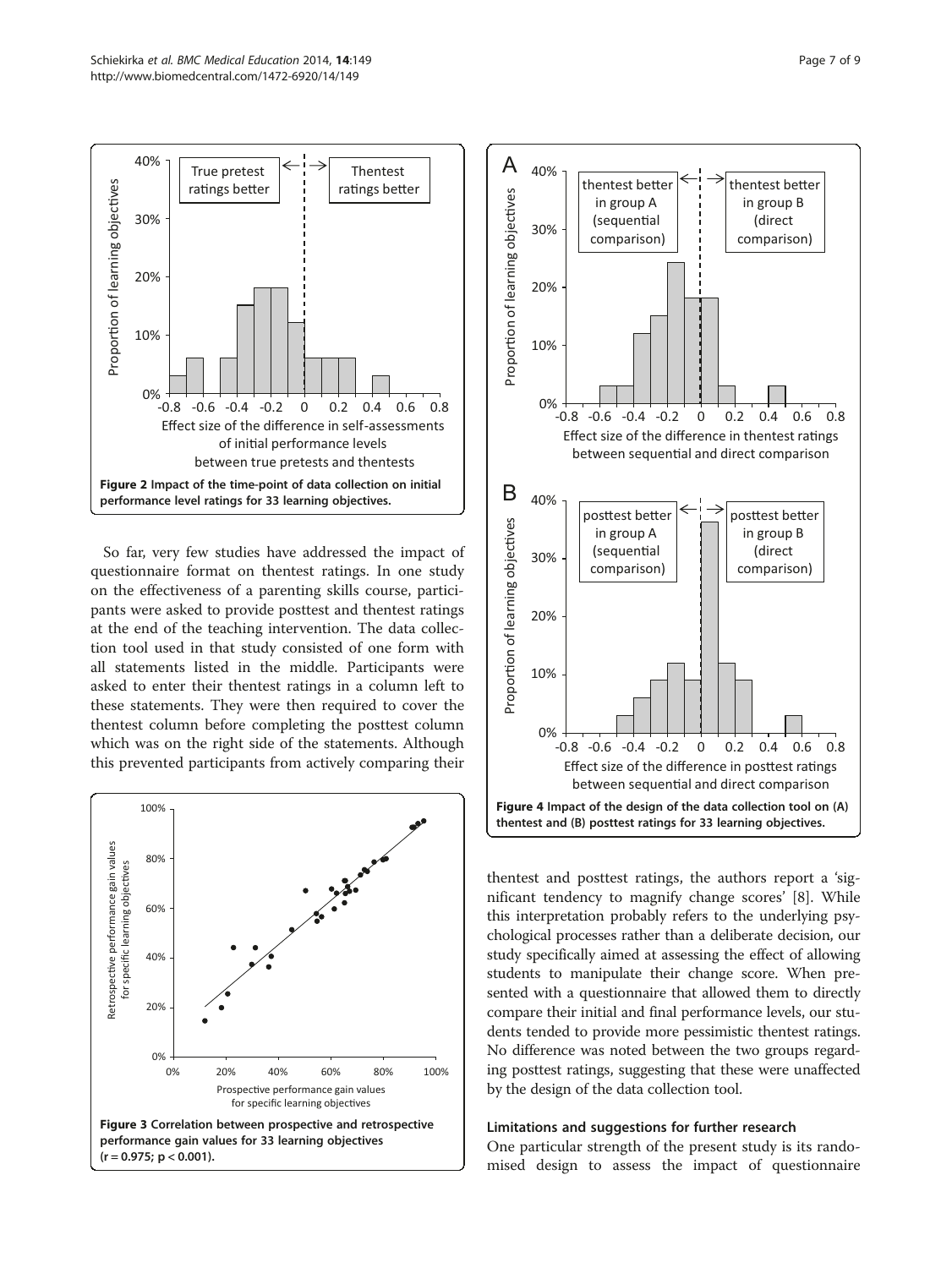<span id="page-6-0"></span>

So far, very few studies have addressed the impact of questionnaire format on thentest ratings. In one study on the effectiveness of a parenting skills course, participants were asked to provide posttest and thentest ratings at the end of the teaching intervention. The data collection tool used in that study consisted of one form with all statements listed in the middle. Participants were asked to enter their thentest ratings in a column left to these statements. They were then required to cover the thentest column before completing the posttest column which was on the right side of the statements. Although this prevented participants from actively comparing their





thentest and posttest ratings, the authors report a 'significant tendency to magnify change scores' [\[8\]](#page-8-0). While this interpretation probably refers to the underlying psychological processes rather than a deliberate decision, our study specifically aimed at assessing the effect of allowing students to manipulate their change score. When presented with a questionnaire that allowed them to directly compare their initial and final performance levels, our students tended to provide more pessimistic thentest ratings. No difference was noted between the two groups regarding posttest ratings, suggesting that these were unaffected by the design of the data collection tool.

#### Limitations and suggestions for further research

One particular strength of the present study is its randomised design to assess the impact of questionnaire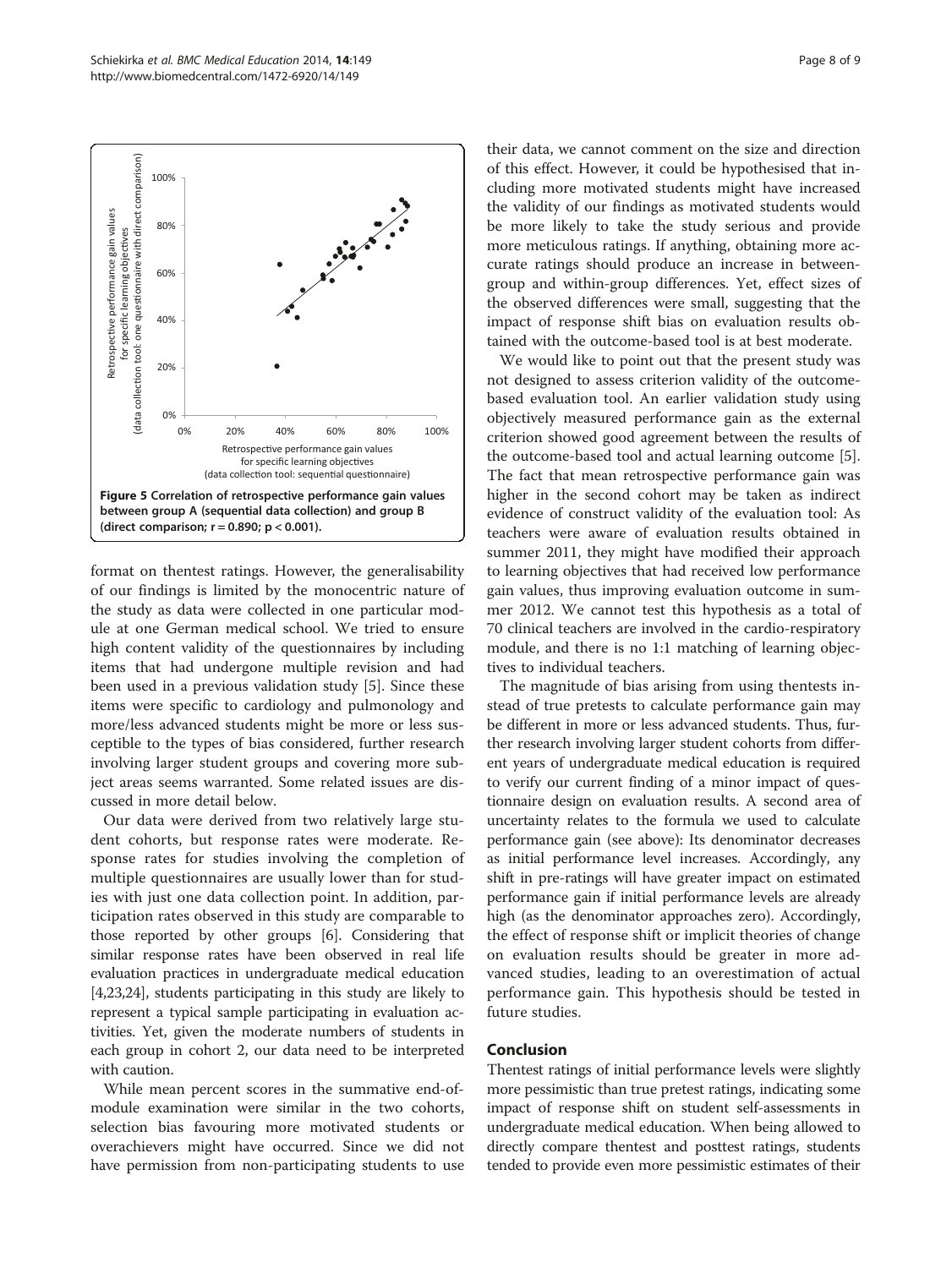<span id="page-7-0"></span>

format on thentest ratings. However, the generalisability of our findings is limited by the monocentric nature of the study as data were collected in one particular module at one German medical school. We tried to ensure high content validity of the questionnaires by including items that had undergone multiple revision and had been used in a previous validation study [[5\]](#page-8-0). Since these items were specific to cardiology and pulmonology and more/less advanced students might be more or less susceptible to the types of bias considered, further research involving larger student groups and covering more subject areas seems warranted. Some related issues are discussed in more detail below.

Our data were derived from two relatively large student cohorts, but response rates were moderate. Response rates for studies involving the completion of multiple questionnaires are usually lower than for studies with just one data collection point. In addition, participation rates observed in this study are comparable to those reported by other groups [\[6\]](#page-8-0). Considering that similar response rates have been observed in real life evaluation practices in undergraduate medical education [[4,23,24\]](#page-8-0), students participating in this study are likely to represent a typical sample participating in evaluation activities. Yet, given the moderate numbers of students in each group in cohort 2, our data need to be interpreted with caution.

While mean percent scores in the summative end-ofmodule examination were similar in the two cohorts, selection bias favouring more motivated students or overachievers might have occurred. Since we did not have permission from non-participating students to use their data, we cannot comment on the size and direction of this effect. However, it could be hypothesised that including more motivated students might have increased the validity of our findings as motivated students would be more likely to take the study serious and provide more meticulous ratings. If anything, obtaining more accurate ratings should produce an increase in betweengroup and within-group differences. Yet, effect sizes of the observed differences were small, suggesting that the impact of response shift bias on evaluation results obtained with the outcome-based tool is at best moderate.

We would like to point out that the present study was not designed to assess criterion validity of the outcomebased evaluation tool. An earlier validation study using objectively measured performance gain as the external criterion showed good agreement between the results of the outcome-based tool and actual learning outcome [\[5](#page-8-0)]. The fact that mean retrospective performance gain was higher in the second cohort may be taken as indirect evidence of construct validity of the evaluation tool: As teachers were aware of evaluation results obtained in summer 2011, they might have modified their approach to learning objectives that had received low performance gain values, thus improving evaluation outcome in summer 2012. We cannot test this hypothesis as a total of 70 clinical teachers are involved in the cardio-respiratory module, and there is no 1:1 matching of learning objectives to individual teachers.

The magnitude of bias arising from using thentests instead of true pretests to calculate performance gain may be different in more or less advanced students. Thus, further research involving larger student cohorts from different years of undergraduate medical education is required to verify our current finding of a minor impact of questionnaire design on evaluation results. A second area of uncertainty relates to the formula we used to calculate performance gain (see above): Its denominator decreases as initial performance level increases. Accordingly, any shift in pre-ratings will have greater impact on estimated performance gain if initial performance levels are already high (as the denominator approaches zero). Accordingly, the effect of response shift or implicit theories of change on evaluation results should be greater in more advanced studies, leading to an overestimation of actual performance gain. This hypothesis should be tested in future studies.

#### Conclusion

Thentest ratings of initial performance levels were slightly more pessimistic than true pretest ratings, indicating some impact of response shift on student self-assessments in undergraduate medical education. When being allowed to directly compare thentest and posttest ratings, students tended to provide even more pessimistic estimates of their